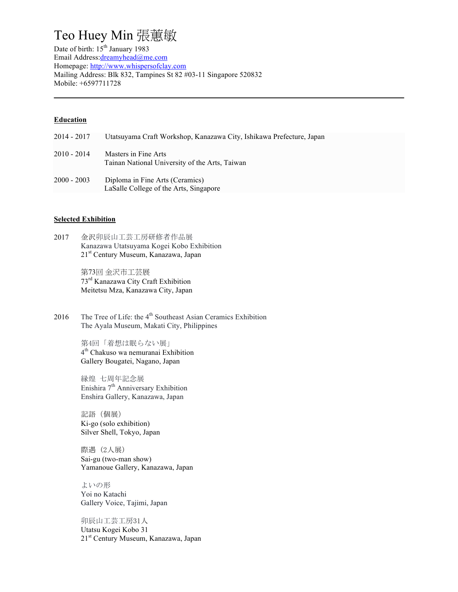# Teo Huey Min 張蕙敏

Date of birth: 15<sup>th</sup> January 1983 Email Address:dreamyhead@me.com Homepage: http://www.whispersofclay.com Mailing Address: Blk 832, Tampines St 82 #03-11 Singapore 520832 Mobile: +6597711728

### **Education**

2014 - 2017 Utatsuyama Craft Workshop, Kanazawa City, Ishikawa Prefecture, Japan 2010 - 2014 Masters in Fine Arts Tainan National University of the Arts, Taiwan 2000 - 2003 Diploma in Fine Arts (Ceramics) LaSalle College of the Arts, Singapore

### **Selected Exhibition**

2017 金沢卯辰山工芸工房研修者作品展 Kanazawa Utatsuyama Kogei Kobo Exhibition 21st Century Museum, Kanazawa, Japan

> 第73回 金沢市工芸展 73rd Kanazawa City Craft Exhibition Meitetsu Mza, Kanazawa City, Japan

2016 The Tree of Life: the  $4<sup>th</sup>$  Southeast Asian Ceramics Exhibition The Ayala Museum, Makati City, Philippines

> 第4回「着想は眠らない展」 4th Chakuso wa nemuranai Exhibition Gallery Bougatei, Nagano, Japan

縁煌 七周年記念展 Enishira  $7<sup>th</sup>$  Anniversary Exhibition Enshira Gallery, Kanazawa, Japan

記語(個展) Ki-go (solo exhibition) Silver Shell, Tokyo, Japan

際遇 (2人展) Sai-gu (two-man show) Yamanoue Gallery, Kanazawa, Japan

よいの形 Yoi no Katachi Gallery Voice, Tajimi, Japan

卯辰山工芸工房31人 Utatsu Kogei Kobo 31 21<sup>st</sup> Century Museum, Kanazawa, Japan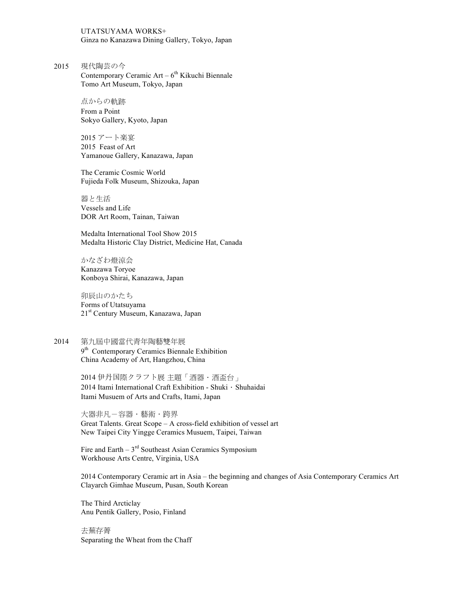UTATSUYAMA WORKS+ Ginza no Kanazawa Dining Gallery, Tokyo, Japan

2015 現代陶芸の今 Contemporary Ceramic Art –  $6<sup>th</sup>$  Kikuchi Biennale Tomo Art Museum, Tokyo, Japan

> 点からの軌跡 From a Point Sokyo Gallery, Kyoto, Japan

2015 アート楽宴 2015 Feast of Art Yamanoue Gallery, Kanazawa, Japan

The Ceramic Cosmic World Fujieda Folk Museum, Shizouka, Japan

器と生活 Vessels and Life DOR Art Room, Tainan, Taiwan

Medalta International Tool Show 2015 Medalta Historic Clay District, Medicine Hat, Canada

かなざわ燈涼会 Kanazawa Toryoe Konboya Shirai, Kanazawa, Japan

卯辰山のかたち Forms of Utatsuyama 21st Century Museum, Kanazawa, Japan

2014 第九屆中國當代青年陶藝雙年展 9<sup>th</sup> Contemporary Ceramics Biennale Exhibition China Academy of Art, Hangzhou, China

> 2014 伊丹国際クラフト展主題「酒器·酒盃台」 2014 Itami International Craft Exhibition - Shuki $\cdot$  Shuhaidai Itami Musuem of Arts and Crafts, Itami, Japan

大器非凡-容器·藝術·跨界 Great Talents. Great Scope – A cross-field exhibition of vessel art New Taipei City Yingge Ceramics Musuem, Taipei, Taiwan

Fire and Earth  $-3<sup>rd</sup>$  Southeast Asian Ceramics Symposium Workhouse Arts Centre, Virginia, USA

2014 Contemporary Ceramic art in Asia – the beginning and changes of Asia Contemporary Ceramics Art Clayarch Gimhae Museum, Pusan, South Korean

The Third Arcticlay Anu Pentik Gallery, Posio, Finland

去蕪存菁 Separating the Wheat from the Chaff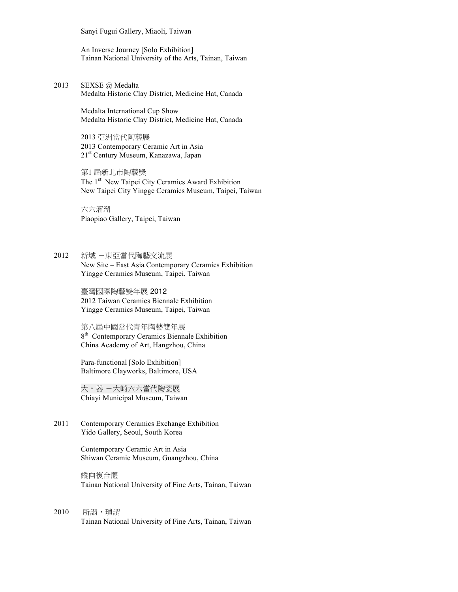Sanyi Fugui Gallery, Miaoli, Taiwan

An Inverse Journey [Solo Exhibition] Tainan National University of the Arts, Tainan, Taiwan

2013 SEXSE @ Medalta Medalta Historic Clay District, Medicine Hat, Canada

> Medalta International Cup Show Medalta Historic Clay District, Medicine Hat, Canada

2013 亞洲當代陶藝展 2013 Contemporary Ceramic Art in Asia 21<sup>st</sup> Century Museum, Kanazawa, Japan

第1 屆新北市陶藝獎 The 1<sup>st</sup> New Taipei City Ceramics Award Exhibition New Taipei City Yingge Ceramics Museum, Taipei, Taiwan

六六溜溜 Piaopiao Gallery, Taipei, Taiwan

2012 新域 -東亞當代陶藝交流展 New Site – East Asia Contemporary Ceramics Exhibition Yingge Ceramics Museum, Taipei, Taiwan

> 臺灣國際陶藝雙年展 2012 2012 Taiwan Ceramics Biennale Exhibition Yingge Ceramics Museum, Taipei, Taiwan

第八屆中國當代青年陶藝雙年展 8<sup>th</sup> Contemporary Ceramics Biennale Exhibition China Academy of Art, Hangzhou, China

Para-functional [Solo Exhibition] Baltimore Clayworks, Baltimore, USA

大。器 -大崎六六當代陶瓷展 Chiayi Municipal Museum, Taiwan

2011 Contemporary Ceramics Exchange Exhibition Yido Gallery, Seoul, South Korea

> Contemporary Ceramic Art in Asia Shiwan Ceramic Museum, Guangzhou, China

縱向複合體 Tainan National University of Fine Arts, Tainan, Taiwan

2010 所謂,瑣謂 Tainan National University of Fine Arts, Tainan, Taiwan